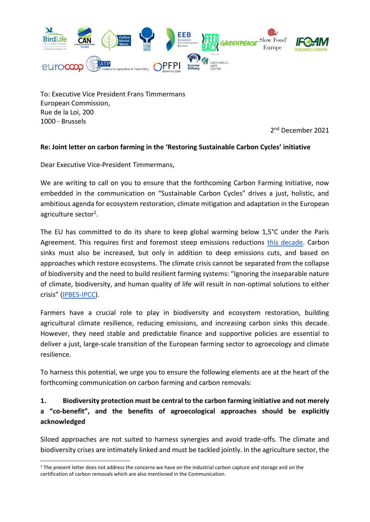

To: Executive Vice President Frans Timmermans European Commission, Rue de la Loi, 200 1000 - Brussels

2<sup>nd</sup> December 2021

#### **Re: Joint letter on carbon farming in the 'Restoring Sustainable Carbon Cycles' initiative**

Dear Executive Vice-President Timmermans,

We are writing to call on you to ensure that the forthcoming Carbon Farming Initiative, now embedded in the communication on "Sustainable Carbon Cycles" drives a just, holistic, and ambitious agenda for ecosystem restoration, climate mitigation and adaptation in the European agriculture sector<sup>1</sup>.

The EU has committed to do its share to keep global warming below 1,5°C under the Paris Agreement. This requires first and foremost steep emissions reductions [this decade.](https://wedocs.unep.org/bitstream/handle/20.500.11822/36991/EGR21_ESEN.pdf) Carbon sinks must also be increased, but only in addition to deep emissions cuts, and based on approaches which restore ecosystems. The climate crisis cannot be separated from the collapse of biodiversity and the need to build resilient farming systems: "Ignoring the inseparable nature of climate, biodiversity, and human quality of life will result in non-optimal solutions to either crisis" ([IPBES-IPCC\)](https://zenodo.org/record/5101125#.YZUnGE6ZOHs).

Farmers have a crucial role to play in biodiversity and ecosystem restoration, building agricultural climate resilience, reducing emissions, and increasing carbon sinks this decade. However, they need stable and predictable finance and supportive policies are essential to deliver a just, large-scale transition of the European farming sector to agroecology and climate resilience.

To harness this potential, we urge you to ensure the following elements are at the heart of the forthcoming communication on carbon farming and carbon removals:

## **1. Biodiversity protection must be central to the carbon farming initiative and not merely a "co-benefit", and the benefits of agroecological approaches should be explicitly acknowledged**

Siloed approaches are not suited to harness synergies and avoid trade-offs. The climate and biodiversity crises are intimately linked and must be tackled jointly. In the agriculture sector, the

<sup>&</sup>lt;sup>1</sup> The present letter does not address the concerns we have on the industrial carbon capture and storage and on the certification of carbon removals which are also mentioned in the Communication.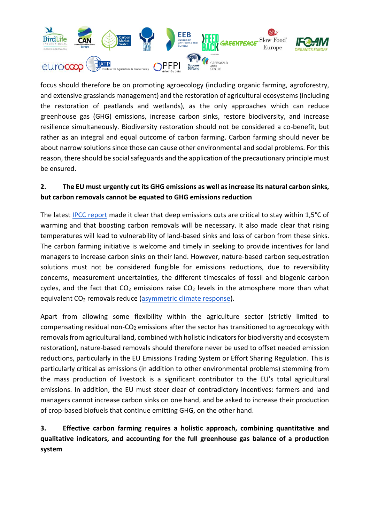

focus should therefore be on promoting agroecology (including organic farming, agroforestry, and extensive grasslands management) and the restoration of agricultural ecosystems (including the restoration of peatlands and wetlands), as the only approaches which can reduce greenhouse gas (GHG) emissions, increase carbon sinks, restore biodiversity, and increase resilience simultaneously. Biodiversity restoration should not be considered a co-benefit, but rather as an integral and equal outcome of carbon farming. Carbon farming should never be about narrow solutions since those can cause other environmental and social problems. For this reason, there should be social safeguards and the application of the precautionary principle must be ensured.

### **2. The EU must urgently cut its GHG emissions as well as increase its natural carbon sinks, but carbon removals cannot be equated to GHG emissions reduction**

The latest [IPCC report](https://www.ipcc.ch/report/ar6/wg1/) made it clear that deep emissions cuts are critical to stay within 1,5°C of warming and that boosting carbon removals will be necessary. It also made clear that rising temperatures will lead to vulnerability of land-based sinks and loss of carbon from these sinks. The carbon farming initiative is welcome and timely in seeking to provide incentives for land managers to increase carbon sinks on their land. However, nature-based carbon sequestration solutions must not be considered fungible for emissions reductions, due to reversibility concerns, measurement uncertainties, the different timescales of fossil and biogenic carbon cycles, and the fact that  $CO<sub>2</sub>$  emissions raise  $CO<sub>2</sub>$  levels in the atmosphere more than what equivalent CO<sub>2</sub> removals reduce [\(asymmetric](https://www.nature.com/articles/s41558-021-01061-2) [climate response\)](https://www.nature.com/articles/s41558-021-01061-2).

Apart from allowing some flexibility within the agriculture sector (strictly limited to compensating residual non-CO<sub>2</sub> emissions after the sector has transitioned to agroecology with removals from agricultural land, combined with holistic indicators for biodiversity and ecosystem restoration), nature-based removals should therefore never be used to offset needed emission reductions, particularly in the EU Emissions Trading System or Effort Sharing Regulation. This is particularly critical as emissions (in addition to other environmental problems) stemming from the mass production of livestock is a significant contributor to the EU's total agricultural emissions. In addition, the EU must steer clear of contradictory incentives: farmers and land managers cannot increase carbon sinks on one hand, and be asked to increase their production of crop-based biofuels that continue emitting GHG, on the other hand.

## **3. Effective carbon farming requires a holistic approach, combining quantitative and qualitative indicators, and accounting for the full greenhouse gas balance of a production system**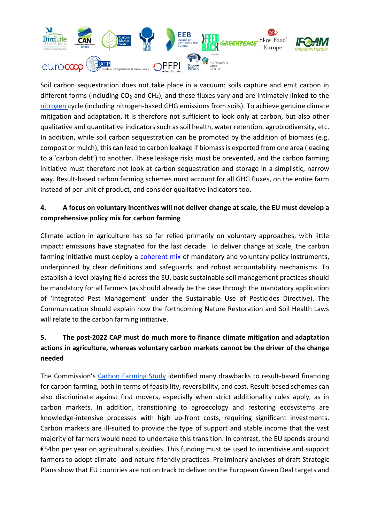

Soil carbon sequestration does not take place in a vacuum: soils capture and emit carbon in different forms (including  $CO<sub>2</sub>$  and CH<sub>4</sub>), and these fluxes vary and are intimately linked to the [nitrogen c](https://www.nature.com/articles/s41558-018-0087-z)ycle (including nitrogen-based GHG emissions from soils). To achieve genuine climate mitigation and adaptation, it is therefore not sufficient to look only at carbon, but also other qualitative and quantitative indicators such as soil health, water retention, agrobiodiversity, etc. In addition, while soil carbon sequestration can be promoted by the addition of biomass (e.g. compost or mulch), this can lead to carbon leakage if biomass is exported from one area (leading to a 'carbon debt') to another. These leakage risks must be prevented, and the carbon farming initiative must therefore not look at carbon sequestration and storage in a simplistic, narrow way. Result-based carbon farming schemes must account for all GHG fluxes, on the entire farm instead of per unit of product, and consider qualitative indicators too.

### **4. A focus on voluntary incentives will not deliver change at scale, the EU must develop a comprehensive policy mix for carbon farming**

Climate action in agriculture has so far relied primarily on voluntary approaches, with little impact: emissions have stagnated for the last decade. To deliver change at scale, the carbon farming initiative must deploy a [coherent mix](https://eeb.org/library/carbon-farming-for-climate-nature-and-farmers/) of mandatory and voluntary policy instruments, underpinned by clear definitions and safeguards, and robust accountability mechanisms. To establish a level playing field across the EU, basic sustainable soil management practices should be mandatory for all farmers (as should already be the case through the mandatory application of 'Integrated Pest Management' under the Sustainable Use of Pesticides Directive). The Communication should explain how the forthcoming Nature Restoration and Soil Health Laws will relate to the carbon farming initiative.

# **5. The post-2022 CAP must do much more to finance climate mitigation and adaptation actions in agriculture, whereas voluntary carbon markets cannot be the driver of the change needed**

The Commission's [Carbon Farming Study](https://ec.europa.eu/clima/news-your-voice/news/commission-sets-carbon-farming-initiative-motion-2021-04-27_en) identified many drawbacks to result-based financing for carbon farming, both in terms of feasibility, reversibility, and cost. Result-based schemes can also discriminate against first movers, especially when strict additionality rules apply, as in carbon markets. In addition, transitioning to agroecology and restoring ecosystems are knowledge-intensive processes with high up-front costs, requiring significant investments. Carbon markets are ill-suited to provide the type of support and stable income that the vast majority of farmers would need to undertake this transition. In contrast, the EU spends around €54bn per year on agricultural subsidies. This funding must be used to incentivise and support farmers to adopt climate- and nature-friendly practices. Preliminary analyses of draft Strategic Plans show that EU countries are not on track to deliver on the European Green Deal targets and